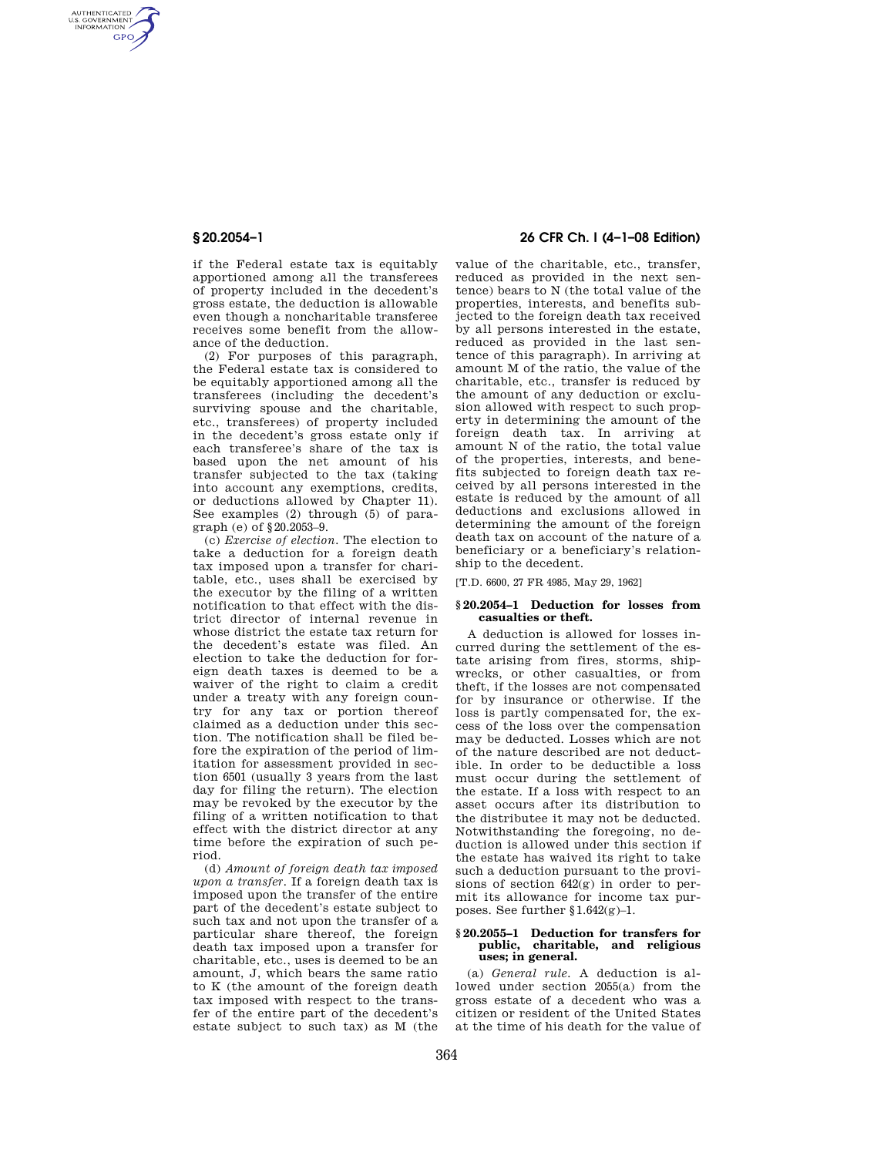AUTHENTICATED<br>U.S. GOVERNMENT<br>INFORMATION **GPO** 

> if the Federal estate tax is equitably apportioned among all the transferees of property included in the decedent's gross estate, the deduction is allowable even though a noncharitable transferee receives some benefit from the allowance of the deduction.

> (2) For purposes of this paragraph, the Federal estate tax is considered to be equitably apportioned among all the transferees (including the decedent's surviving spouse and the charitable, etc., transferees) of property included in the decedent's gross estate only if each transferee's share of the tax is based upon the net amount of his transfer subjected to the tax (taking into account any exemptions, credits, or deductions allowed by Chapter 11). See examples (2) through (5) of paragraph (e) of §20.2053–9.

> (c) *Exercise of election.* The election to take a deduction for a foreign death tax imposed upon a transfer for charitable, etc., uses shall be exercised by the executor by the filing of a written notification to that effect with the district director of internal revenue in whose district the estate tax return for the decedent's estate was filed. An election to take the deduction for foreign death taxes is deemed to be a waiver of the right to claim a credit under a treaty with any foreign country for any tax or portion thereof claimed as a deduction under this section. The notification shall be filed before the expiration of the period of limitation for assessment provided in section 6501 (usually 3 years from the last day for filing the return). The election may be revoked by the executor by the filing of a written notification to that effect with the district director at any time before the expiration of such period.

> (d) *Amount of foreign death tax imposed upon a transfer.* If a foreign death tax is imposed upon the transfer of the entire part of the decedent's estate subject to such tax and not upon the transfer of a particular share thereof, the foreign death tax imposed upon a transfer for charitable, etc., uses is deemed to be an amount, J, which bears the same ratio to K (the amount of the foreign death tax imposed with respect to the transfer of the entire part of the decedent's estate subject to such tax) as M (the

# **§ 20.2054–1 26 CFR Ch. I (4–1–08 Edition)**

value of the charitable, etc., transfer, reduced as provided in the next sentence) bears to N (the total value of the properties, interests, and benefits subjected to the foreign death tax received by all persons interested in the estate, reduced as provided in the last sentence of this paragraph). In arriving at amount M of the ratio, the value of the charitable, etc., transfer is reduced by the amount of any deduction or exclusion allowed with respect to such property in determining the amount of the foreign death tax. In arriving at amount N of the ratio, the total value of the properties, interests, and benefits subjected to foreign death tax received by all persons interested in the estate is reduced by the amount of all deductions and exclusions allowed in determining the amount of the foreign death tax on account of the nature of a beneficiary or a beneficiary's relationship to the decedent.

[T.D. 6600, 27 FR 4985, May 29, 1962]

### **§ 20.2054–1 Deduction for losses from casualties or theft.**

A deduction is allowed for losses incurred during the settlement of the estate arising from fires, storms, shipwrecks, or other casualties, or from theft, if the losses are not compensated for by insurance or otherwise. If the loss is partly compensated for, the excess of the loss over the compensation may be deducted. Losses which are not of the nature described are not deductible. In order to be deductible a loss must occur during the settlement of the estate. If a loss with respect to an asset occurs after its distribution to the distributee it may not be deducted. Notwithstanding the foregoing, no deduction is allowed under this section if the estate has waived its right to take such a deduction pursuant to the provisions of section 642(g) in order to permit its allowance for income tax purposes. See further §1.642(g)–1.

### **§ 20.2055–1 Deduction for transfers for public, charitable, and religious uses; in general.**

(a) *General rule.* A deduction is allowed under section 2055(a) from the gross estate of a decedent who was a citizen or resident of the United States at the time of his death for the value of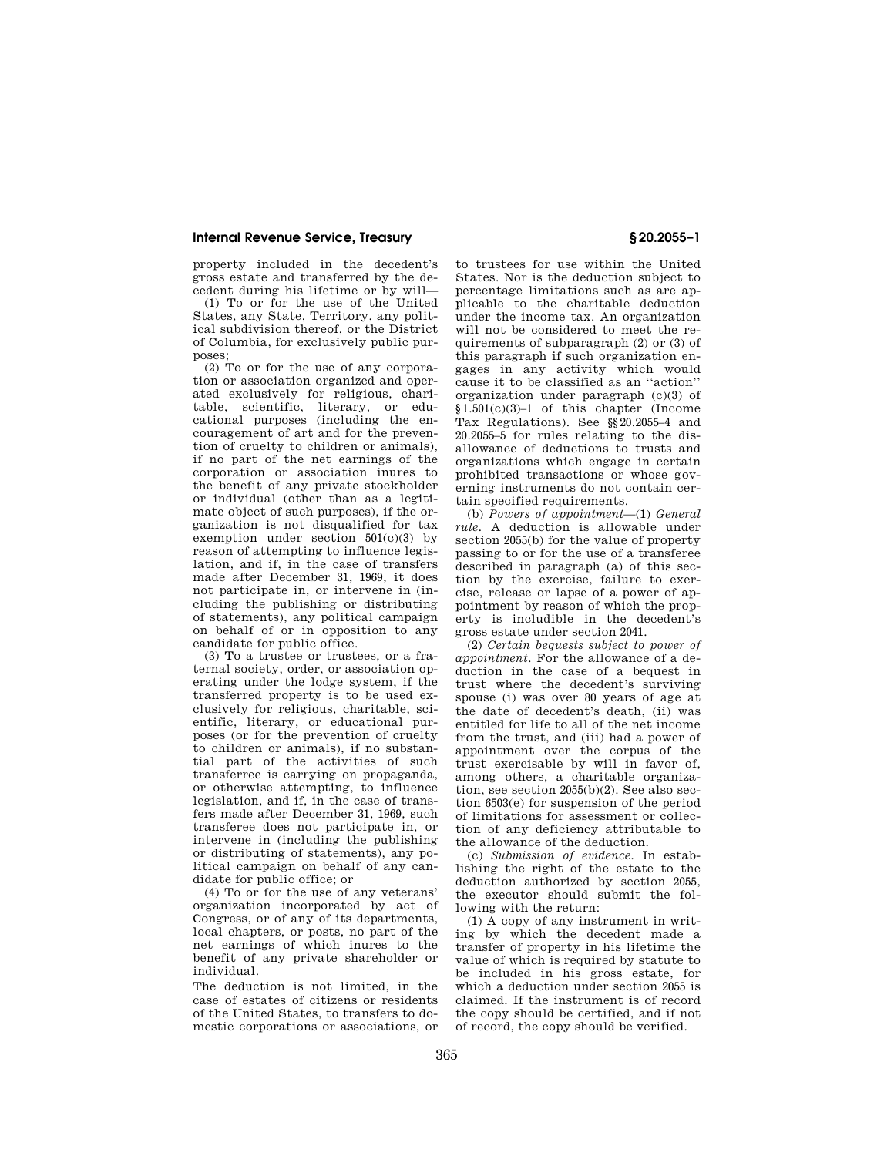## **Internal Revenue Service, Treasury § 20.2055–1**

property included in the decedent's gross estate and transferred by the decedent during his lifetime or by will—

(1) To or for the use of the United States, any State, Territory, any political subdivision thereof, or the District of Columbia, for exclusively public purposes;

(2) To or for the use of any corporation or association organized and operated exclusively for religious, charitable, scientific, literary, or educational purposes (including the encouragement of art and for the prevention of cruelty to children or animals), if no part of the net earnings of the corporation or association inures to the benefit of any private stockholder or individual (other than as a legitimate object of such purposes), if the organization is not disqualified for tax exemption under section  $501(c)(3)$  by reason of attempting to influence legislation, and if, in the case of transfers made after December 31, 1969, it does not participate in, or intervene in (including the publishing or distributing of statements), any political campaign on behalf of or in opposition to any candidate for public office.

(3) To a trustee or trustees, or a fraternal society, order, or association operating under the lodge system, if the transferred property is to be used exclusively for religious, charitable, scientific, literary, or educational purposes (or for the prevention of cruelty to children or animals), if no substantial part of the activities of such transferree is carrying on propaganda, or otherwise attempting, to influence legislation, and if, in the case of transfers made after December 31, 1969, such transferee does not participate in, or intervene in (including the publishing or distributing of statements), any political campaign on behalf of any candidate for public office; or

(4) To or for the use of any veterans' organization incorporated by act of Congress, or of any of its departments, local chapters, or posts, no part of the net earnings of which inures to the benefit of any private shareholder or individual.

The deduction is not limited, in the case of estates of citizens or residents of the United States, to transfers to domestic corporations or associations, or to trustees for use within the United States. Nor is the deduction subject to percentage limitations such as are applicable to the charitable deduction under the income tax. An organization will not be considered to meet the requirements of subparagraph (2) or (3) of this paragraph if such organization engages in any activity which would cause it to be classified as an ''action'' organization under paragraph (c)(3) of §1.501(c)(3)–1 of this chapter (Income Tax Regulations). See §§20.2055–4 and 20.2055–5 for rules relating to the disallowance of deductions to trusts and organizations which engage in certain prohibited transactions or whose governing instruments do not contain certain specified requirements.

(b) *Powers of appointment*—(1) *General rule.* A deduction is allowable under section 2055(b) for the value of property passing to or for the use of a transferee described in paragraph (a) of this section by the exercise, failure to exercise, release or lapse of a power of appointment by reason of which the property is includible in the decedent's gross estate under section 2041.

(2) *Certain bequests subject to power of appointment.* For the allowance of a deduction in the case of a bequest in trust where the decedent's surviving spouse (i) was over 80 years of age at the date of decedent's death, (ii) was entitled for life to all of the net income from the trust, and (iii) had a power of appointment over the corpus of the trust exercisable by will in favor of, among others, a charitable organization, see section 2055(b)(2). See also section 6503(e) for suspension of the period of limitations for assessment or collection of any deficiency attributable to the allowance of the deduction.

(c) *Submission of evidence.* In establishing the right of the estate to the deduction authorized by section 2055, the executor should submit the following with the return:

(1) A copy of any instrument in writing by which the decedent made a transfer of property in his lifetime the value of which is required by statute to be included in his gross estate, for which a deduction under section 2055 is claimed. If the instrument is of record the copy should be certified, and if not of record, the copy should be verified.